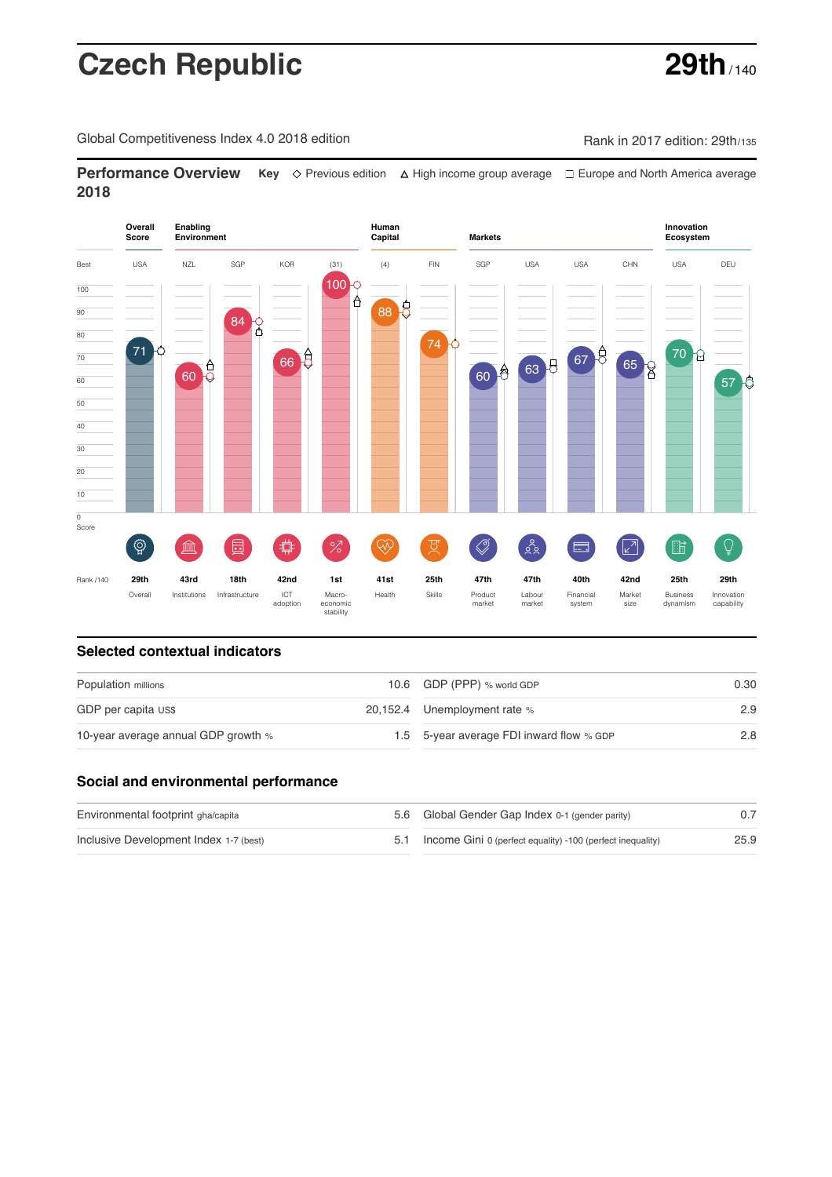# **Czech Republic 29th**

Global Competitiveness Index 4.0 2018 edition Company Rank in 2017 edition: 29th/135

**Performance Overview** Key  $\Diamond$  Previous edition ∆ High income group average  $\Box$  Europe and North America average **2018**

### **Overall Enabling Environment Human Capital Markets Innovation Ecosystem Score** Best USA NZL SGP KOR (31) (4) FIN SGP USA USA CHN USA DEU 100 100 Å 88 8 90 84 Q 80 74 71 70 g 67 65 8 70 66 E  $60<sup>6</sup>$ 63 8 60 8 60 57 0 50  $\frac{1}{40}$ 30 20 10  $\overline{0}$ Score  $\widehat{R}$ **ledge (** ਸੂ  $\bigotimes$  $88$  $\equiv$  $\sqrt{2}$ 酯  $\overline{Q}$  $\frac{2}{\sqrt{2}}$  $\widetilde{\rightsquigarrow}$ 晨 曲 Rank /140 **29th 43rd 18th 42nd 1st 41st 25th 47th 47th 40th 42nd 25th 29th** Overall Institutions Infrastructure ICT<br>adoption Labour Financial Market Business adoption Macro- economic stability Health Skills Product market Innovation capability market system narist<br>size dynamism

### **Selected contextual indicators**

| Population millions                 | 10.6 GDP (PPP) % world GDP               | 0.30 |  |
|-------------------------------------|------------------------------------------|------|--|
| GDP per capita US\$                 | 20,152.4 Unemployment rate %             | 2.9  |  |
| 10-year average annual GDP growth % | 1.5 5-year average FDI inward flow % GDP | 2.8  |  |

### **Social and environmental performance**

| Environmental footprint gha/capita     | 5.6 Global Gender Gap Index 0-1 (gender parity)                |      |
|----------------------------------------|----------------------------------------------------------------|------|
| Inclusive Development Index 1-7 (best) | 5.1 Income Gini 0 (perfect equality) -100 (perfect inequality) | 25.9 |

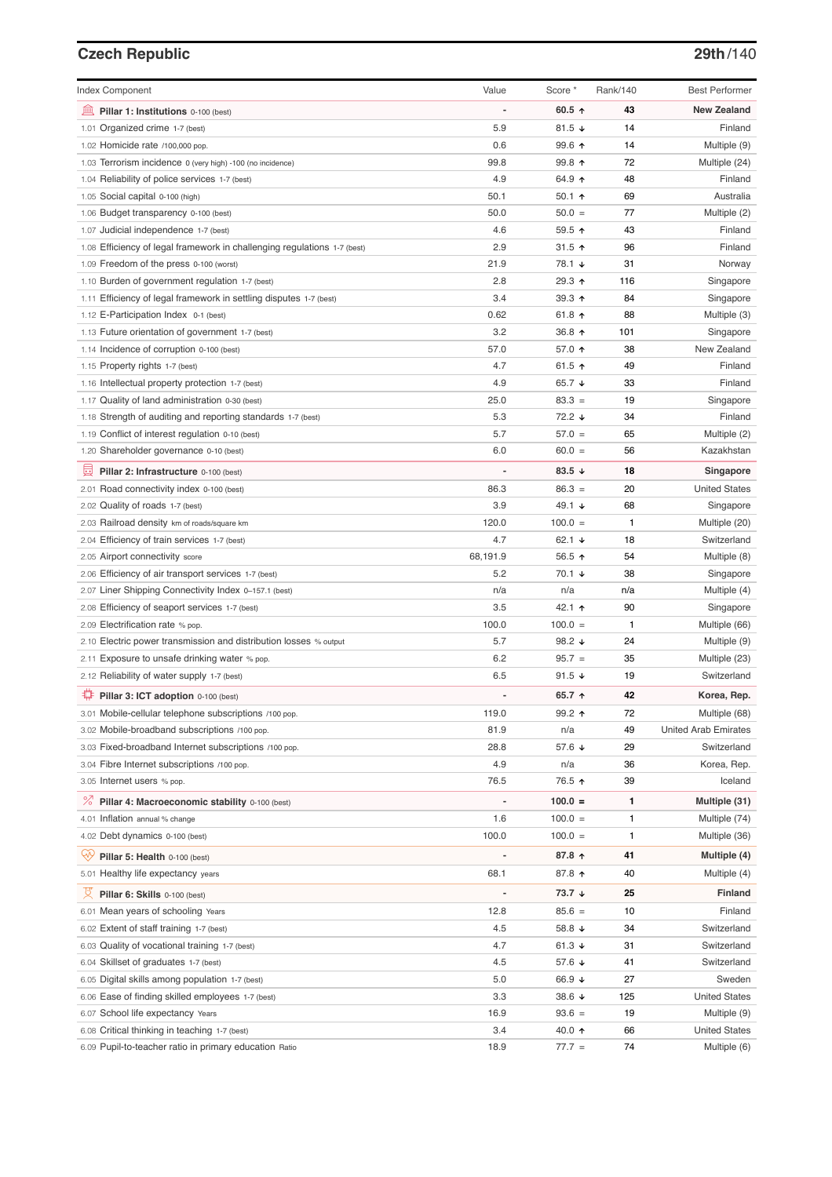# **Czech Republic 29th**/140

| <b>Index Component</b>                                                   | Value          | Score *           | Rank/140 | <b>Best Performer</b>       |
|--------------------------------------------------------------------------|----------------|-------------------|----------|-----------------------------|
|                                                                          |                |                   |          |                             |
| 寙<br>Pillar 1: Institutions 0-100 (best)                                 |                | 60.5 $\uparrow$   | 43       | <b>New Zealand</b>          |
| 1.01 Organized crime 1-7 (best)                                          | 5.9            | 81.5 $\sqrt{ }$   | 14       | Finland                     |
| 1.02 Homicide rate /100,000 pop.                                         | 0.6            | 99.6 ↑            | 14       | Multiple (9)                |
| 1.03 Terrorism incidence 0 (very high) -100 (no incidence)               | 99.8           | 99.8 个            | 72       | Multiple (24)               |
| 1.04 Reliability of police services 1-7 (best)                           | 4.9            | 64.9 ↑            | 48       | Finland                     |
| 1.05 Social capital 0-100 (high)                                         | 50.1           | 50.1 $\uparrow$   | 69       | Australia                   |
| 1.06 Budget transparency 0-100 (best)                                    | 50.0           | $50.0 =$          | 77       | Multiple (2)                |
| 1.07 Judicial independence 1-7 (best)                                    | 4.6            | 59.5 个            | 43       | Finland                     |
| 1.08 Efficiency of legal framework in challenging regulations 1-7 (best) | 2.9            | 31.5 $\uparrow$   | 96       | Finland                     |
| 1.09 Freedom of the press 0-100 (worst)                                  | 21.9           | 78.1 ↓            | 31       | Norway                      |
| 1.10 Burden of government regulation 1-7 (best)                          | 2.8            | 29.3 ↑            | 116      | Singapore                   |
| 1.11 Efficiency of legal framework in settling disputes 1-7 (best)       | 3.4            | 39.3 $\uparrow$   | 84       | Singapore                   |
| 1.12 E-Participation Index 0-1 (best)                                    | 0.62           | 61.8 $\uparrow$   | 88       | Multiple (3)                |
| 1.13 Future orientation of government 1-7 (best)                         | 3.2            | 36.8 ↑            | 101      | Singapore                   |
| 1.14 Incidence of corruption 0-100 (best)                                | 57.0           | 57.0 ↑            | 38       | New Zealand                 |
| 1.15 Property rights 1-7 (best)                                          | 4.7            | 61.5 $\uparrow$   | 49       | Finland                     |
| 1.16 Intellectual property protection 1-7 (best)                         | 4.9            | 65.7 $\sqrt{ }$   | 33       | Finland                     |
| 1.17 Quality of land administration 0-30 (best)                          | 25.0           | $83.3 =$          | 19       | Singapore                   |
| 1.18 Strength of auditing and reporting standards 1-7 (best)             | 5.3            | 72.2 ↓            | 34       | Finland                     |
| 1.19 Conflict of interest regulation 0-10 (best)                         | 5.7            | $57.0 =$          | 65       | Multiple (2)                |
| 1.20 Shareholder governance 0-10 (best)                                  | 6.0            | $60.0 =$          | 56       | Kazakhstan                  |
| 圓<br>Pillar 2: Infrastructure 0-100 (best)                               |                | 83.5 $\sqrt{ }$   | 18       | Singapore                   |
| 2.01 Road connectivity index 0-100 (best)                                | 86.3           | $86.3 =$          | 20       | <b>United States</b>        |
| 2.02 Quality of roads 1-7 (best)                                         | 3.9            | 49.1 $\sqrt{ }$   | 68       | Singapore                   |
| 2.03 Railroad density km of roads/square km                              | 120.0          | $100.0 =$         | 1        | Multiple (20)               |
| 2.04 Efficiency of train services 1-7 (best)                             | 4.7            | 62.1 $\sqrt{ }$   | 18       | Switzerland                 |
| 2.05 Airport connectivity score                                          | 68,191.9       | 56.5 个            | 54       | Multiple (8)                |
| 2.06 Efficiency of air transport services 1-7 (best)                     | 5.2            | 70.1 ↓            | 38       | Singapore                   |
| 2.07 Liner Shipping Connectivity Index 0-157.1 (best)                    | n/a            | n/a               | n/a      | Multiple (4)                |
| 2.08 Efficiency of seaport services 1-7 (best)                           | 3.5            | 42.1 ↑            | 90       | Singapore                   |
| 2.09 Electrification rate % pop.                                         | 100.0          | $100.0 =$         | 1        | Multiple (66)               |
| 2.10 Electric power transmission and distribution losses % output        | 5.7            | 98.2 $\sqrt{ }$   | 24       | Multiple (9)                |
| 2.11 Exposure to unsafe drinking water % pop.                            | 6.2            | $95.7 =$          | 35       | Multiple (23)               |
| 2.12 Reliability of water supply 1-7 (best)                              | 6.5            | 91.5 $\sqrt{ }$   | 19       | Switzerland                 |
| Pillar 3: ICT adoption 0-100 (best)                                      |                | 65.7 $\uparrow$   | 42       | Korea, Rep.                 |
| 3.01 Mobile-cellular telephone subscriptions /100 pop.                   | 119.0          | 99.2 ↑            | 72       | Multiple (68)               |
| 3.02 Mobile-broadband subscriptions /100 pop.                            | 81.9           | n/a               | 49       | <b>United Arab Emirates</b> |
| 3.03 Fixed-broadband Internet subscriptions /100 pop.                    | 28.8           | 57.6 ↓            | 29       | Switzerland                 |
| 3.04 Fibre Internet subscriptions /100 pop.                              | 4.9            | n/a               | 36       | Korea, Rep.                 |
| 3.05 Internet users % pop.                                               | 76.5           | 76.5 ↑            | 39       | Iceland                     |
| ℅<br>Pillar 4: Macroeconomic stability 0-100 (best)                      | $\overline{a}$ | $100.0 =$         | 1        | Multiple (31)               |
| 4.01 Inflation annual % change                                           | 1.6            | $100.0 =$         | 1        | Multiple (74)               |
| 4.02 Debt dynamics 0-100 (best)                                          | 100.0          | $100.0 =$         | 1        | Multiple (36)               |
|                                                                          |                |                   |          |                             |
| ₩<br>Pillar 5: Health 0-100 (best)                                       |                | 87.8 ↑            | 41       | Multiple (4)                |
| 5.01 Healthy life expectancy years                                       | 68.1           | 87.8 个            | 40       | Multiple (4)                |
| 文<br>Pillar 6: Skills 0-100 (best)                                       | $\overline{a}$ | $73.7 \downarrow$ | 25       | <b>Finland</b>              |
| 6.01 Mean years of schooling Years                                       | 12.8           | $85.6 =$          | 10       | Finland                     |
| 6.02 Extent of staff training 1-7 (best)                                 | 4.5            | 58.8 ↓            | 34       | Switzerland                 |
| 6.03 Quality of vocational training 1-7 (best)                           | 4.7            | 61.3 $\sqrt{ }$   | 31       | Switzerland                 |
| 6.04 Skillset of graduates 1-7 (best)                                    | 4.5            | 57.6 ↓            | 41       | Switzerland                 |
| 6.05 Digital skills among population 1-7 (best)                          | 5.0            | 66.9 ↓            | 27       | Sweden                      |
| 6.06 Ease of finding skilled employees 1-7 (best)                        | 3.3            | 38.6 $\sqrt{ }$   | 125      | <b>United States</b>        |
| 6.07 School life expectancy Years                                        | 16.9           | $93.6 =$          | 19       | Multiple (9)                |
| 6.08 Critical thinking in teaching 1-7 (best)                            | 3.4            | 40.0 ↑            | 66       | <b>United States</b>        |
| 6.09 Pupil-to-teacher ratio in primary education Ratio                   | 18.9           | $77.7 =$          | 74       | Multiple (6)                |